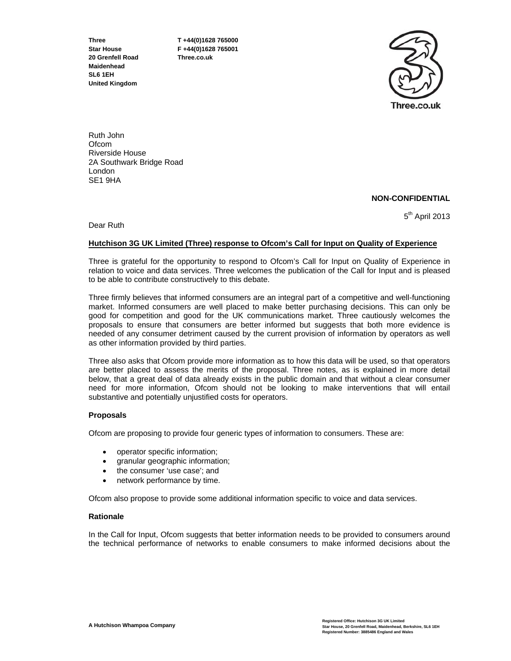**20 Grenfell Road Three.co.uk Maidenhead SL6 1EH United Kingdom** 

**Three T +44(0)1628 765000 Star House F +44(0)1628 765001** 



Ruth John **Ofcom** Riverside House 2A Southwark Bridge Road London SE1 9HA

# **NON-CONFIDENTIAL**

Dear Ruth

5<sup>th</sup> April 2013

# **Hutchison 3G UK Limited (Three) response to Ofcom's Call for Input on Quality of Experience**

Three is grateful for the opportunity to respond to Ofcom's Call for Input on Quality of Experience in relation to voice and data services. Three welcomes the publication of the Call for Input and is pleased to be able to contribute constructively to this debate.

Three firmly believes that informed consumers are an integral part of a competitive and well-functioning market. Informed consumers are well placed to make better purchasing decisions. This can only be good for competition and good for the UK communications market. Three cautiously welcomes the proposals to ensure that consumers are better informed but suggests that both more evidence is needed of any consumer detriment caused by the current provision of information by operators as well as other information provided by third parties.

Three also asks that Ofcom provide more information as to how this data will be used, so that operators are better placed to assess the merits of the proposal. Three notes, as is explained in more detail below, that a great deal of data already exists in the public domain and that without a clear consumer need for more information, Ofcom should not be looking to make interventions that will entail substantive and potentially unjustified costs for operators.

## **Proposals**

Ofcom are proposing to provide four generic types of information to consumers. These are:

- operator specific information;
- granular geographic information;
- the consumer 'use case'; and
- network performance by time.

Ofcom also propose to provide some additional information specific to voice and data services.

## **Rationale**

In the Call for Input, Ofcom suggests that better information needs to be provided to consumers around the technical performance of networks to enable consumers to make informed decisions about the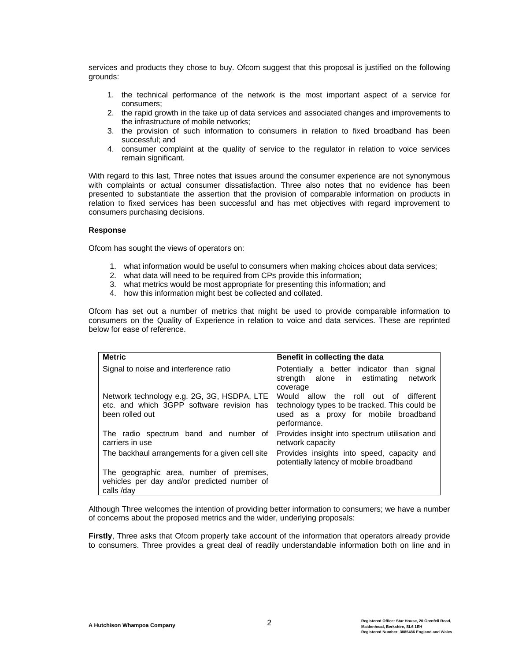services and products they chose to buy. Ofcom suggest that this proposal is justified on the following grounds:

- 1. the technical performance of the network is the most important aspect of a service for consumers;
- 2. the rapid growth in the take up of data services and associated changes and improvements to the infrastructure of mobile networks;
- 3. the provision of such information to consumers in relation to fixed broadband has been successful; and
- 4. consumer complaint at the quality of service to the regulator in relation to voice services remain significant.

With regard to this last, Three notes that issues around the consumer experience are not synonymous with complaints or actual consumer dissatisfaction. Three also notes that no evidence has been presented to substantiate the assertion that the provision of comparable information on products in relation to fixed services has been successful and has met objectives with regard improvement to consumers purchasing decisions.

## **Response**

Ofcom has sought the views of operators on:

- 1. what information would be useful to consumers when making choices about data services;
- 2. what data will need to be required from CPs provide this information;
- 3. what metrics would be most appropriate for presenting this information; and
- 4. how this information might best be collected and collated.

Ofcom has set out a number of metrics that might be used to provide comparable information to consumers on the Quality of Experience in relation to voice and data services. These are reprinted below for ease of reference.

| <b>Metric</b>                                                                                              | Benefit in collecting the data                                                                                                                 |
|------------------------------------------------------------------------------------------------------------|------------------------------------------------------------------------------------------------------------------------------------------------|
| Signal to noise and interference ratio                                                                     | Potentially a better indicator than signal<br>strength alone in estimating<br>network<br>coverage                                              |
| Network technology e.g. 2G, 3G, HSDPA, LTE<br>etc. and which 3GPP software revision has<br>been rolled out | Would allow the roll out of different<br>technology types to be tracked. This could be<br>used as a proxy for mobile broadband<br>performance. |
| The radio spectrum band and number of<br>carriers in use                                                   | Provides insight into spectrum utilisation and<br>network capacity                                                                             |
| The backhaul arrangements for a given cell site                                                            | Provides insights into speed, capacity and<br>potentially latency of mobile broadband                                                          |
| The geographic area, number of premises,<br>vehicles per day and/or predicted number of<br>calls /day      |                                                                                                                                                |

Although Three welcomes the intention of providing better information to consumers; we have a number of concerns about the proposed metrics and the wider, underlying proposals:

Firstly, Three asks that Ofcom properly take account of the information that operators already provide to consumers. Three provides a great deal of readily understandable information both on line and in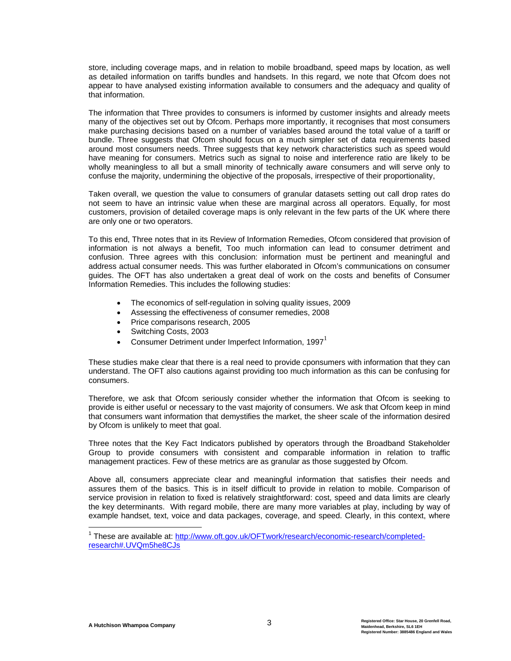store, including coverage maps, and in relation to mobile broadband, speed maps by location, as well as detailed information on tariffs bundles and handsets. In this regard, we note that Ofcom does not appear to have analysed existing information available to consumers and the adequacy and quality of that information.

The information that Three provides to consumers is informed by customer insights and already meets many of the objectives set out by Ofcom. Perhaps more importantly, it recognises that most consumers make purchasing decisions based on a number of variables based around the total value of a tariff or bundle. Three suggests that Ofcom should focus on a much simpler set of data requirements based around most consumers needs. Three suggests that key network characteristics such as speed would have meaning for consumers. Metrics such as signal to noise and interference ratio are likely to be wholly meaningless to all but a small minority of technically aware consumers and will serve only to confuse the majority, undermining the objective of the proposals, irrespective of their proportionality,

Taken overall, we question the value to consumers of granular datasets setting out call drop rates do not seem to have an intrinsic value when these are marginal across all operators. Equally, for most customers, provision of detailed coverage maps is only relevant in the few parts of the UK where there are only one or two operators.

To this end, Three notes that in its Review of Information Remedies, Ofcom considered that provision of information is not always a benefit, Too much information can lead to consumer detriment and confusion. Three agrees with this conclusion: information must be pertinent and meaningful and address actual consumer needs. This was further elaborated in Ofcom's communications on consumer guides. The OFT has also undertaken a great deal of work on the costs and benefits of Consumer Information Remedies. This includes the following studies:

- The economics of self-regulation in solving quality issues, 2009
- Assessing the effectiveness of consumer remedies, 2008
- Price comparisons research, 2005
- Switching Costs, 2003
- Consumer Detriment under Imperfect Information, 1997 $^{\text{1}}$

These studies make clear that there is a real need to provide cponsumers with information that they can understand. The OFT also cautions against providing too much information as this can be confusing for consumers.

Therefore, we ask that Ofcom seriously consider whether the information that Ofcom is seeking to provide is either useful or necessary to the vast majority of consumers. We ask that Ofcom keep in mind that consumers want information that demystifies the market, the sheer scale of the information desired by Ofcom is unlikely to meet that goal.

Three notes that the Key Fact Indicators published by operators through the Broadband Stakeholder Group to provide consumers with consistent and comparable information in relation to traffic management practices. Few of these metrics are as granular as those suggested by Ofcom.

Above all, consumers appreciate clear and meaningful information that satisfies their needs and assures them of the basics. This is in itself difficult to provide in relation to mobile. Comparison of service provision in relation to fixed is relatively straightforward: cost, speed and data limits are clearly the key determinants. With regard mobile, there are many more variables at play, including by way of example handset, text, voice and data packages, coverage, and speed. Clearly, in this context, where

<sup>&</sup>lt;sup>1</sup> These are available at: http://www.oft.gov.uk/OFTwork/research/economic-research/completedresearch#.UVQm5he8CJs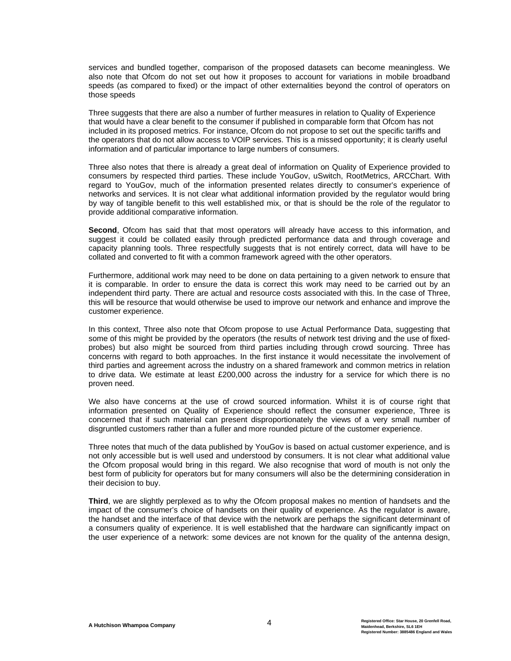services and bundled together, comparison of the proposed datasets can become meaningless. We also note that Ofcom do not set out how it proposes to account for variations in mobile broadband speeds (as compared to fixed) or the impact of other externalities beyond the control of operators on those speeds

Three suggests that there are also a number of further measures in relation to Quality of Experience that would have a clear benefit to the consumer if published in comparable form that Ofcom has not included in its proposed metrics. For instance, Ofcom do not propose to set out the specific tariffs and the operators that do not allow access to VOIP services. This is a missed opportunity; it is clearly useful information and of particular importance to large numbers of consumers.

Three also notes that there is already a great deal of information on Quality of Experience provided to consumers by respected third parties. These include YouGov, uSwitch, RootMetrics, ARCChart. With regard to YouGov, much of the information presented relates directly to consumer's experience of networks and services. It is not clear what additional information provided by the regulator would bring by way of tangible benefit to this well established mix, or that is should be the role of the regulator to provide additional comparative information.

Second, Ofcom has said that that most operators will already have access to this information, and suggest it could be collated easily through predicted performance data and through coverage and capacity planning tools. Three respectfully suggests that is not entirely correct, data will have to be collated and converted to fit with a common framework agreed with the other operators.

Furthermore, additional work may need to be done on data pertaining to a given network to ensure that it is comparable. In order to ensure the data is correct this work may need to be carried out by an independent third party. There are actual and resource costs associated with this. In the case of Three, this will be resource that would otherwise be used to improve our network and enhance and improve the customer experience.

In this context, Three also note that Ofcom propose to use Actual Performance Data, suggesting that some of this might be provided by the operators (the results of network test driving and the use of fixedprobes) but also might be sourced from third parties including through crowd sourcing. Three has concerns with regard to both approaches. In the first instance it would necessitate the involvement of third parties and agreement across the industry on a shared framework and common metrics in relation to drive data. We estimate at least £200,000 across the industry for a service for which there is no proven need.

We also have concerns at the use of crowd sourced information. Whilst it is of course right that information presented on Quality of Experience should reflect the consumer experience, Three is concerned that if such material can present disproportionately the views of a very small number of disgruntled customers rather than a fuller and more rounded picture of the customer experience.

Three notes that much of the data published by YouGov is based on actual customer experience, and is not only accessible but is well used and understood by consumers. It is not clear what additional value the Ofcom proposal would bring in this regard. We also recognise that word of mouth is not only the best form of publicity for operators but for many consumers will also be the determining consideration in their decision to buy.

**Third**, we are slightly perplexed as to why the Ofcom proposal makes no mention of handsets and the impact of the consumer's choice of handsets on their quality of experience. As the regulator is aware, the handset and the interface of that device with the network are perhaps the significant determinant of a consumers quality of experience. It is well established that the hardware can significantly impact on the user experience of a network: some devices are not known for the quality of the antenna design,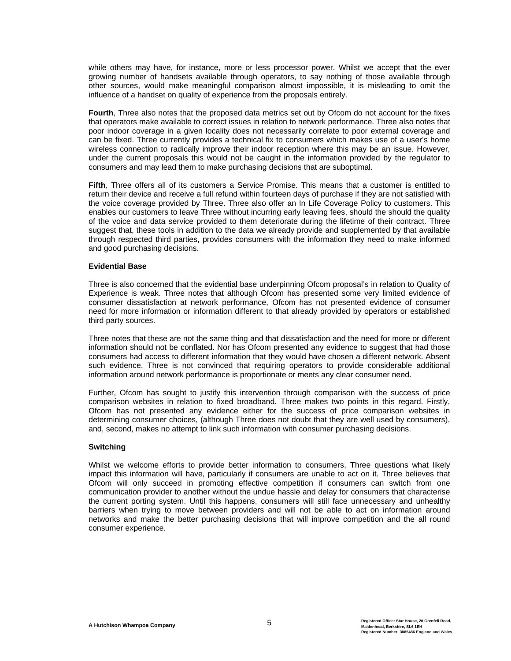while others may have, for instance, more or less processor power. Whilst we accept that the ever growing number of handsets available through operators, to say nothing of those available through other sources, would make meaningful comparison almost impossible, it is misleading to omit the influence of a handset on quality of experience from the proposals entirely.

**Fourth**, Three also notes that the proposed data metrics set out by Ofcom do not account for the fixes that operators make available to correct issues in relation to network performance. Three also notes that poor indoor coverage in a given locality does not necessarily correlate to poor external coverage and can be fixed. Three currently provides a technical fix to consumers which makes use of a user's home wireless connection to radically improve their indoor reception where this may be an issue. However, under the current proposals this would not be caught in the information provided by the regulator to consumers and may lead them to make purchasing decisions that are suboptimal.

**Fifth**, Three offers all of its customers a Service Promise. This means that a customer is entitled to return their device and receive a full refund within fourteen days of purchase if they are not satisfied with the voice coverage provided by Three. Three also offer an In Life Coverage Policy to customers. This enables our customers to leave Three without incurring early leaving fees, should the should the quality of the voice and data service provided to them deteriorate during the lifetime of their contract. Three suggest that, these tools in addition to the data we already provide and supplemented by that available through respected third parties, provides consumers with the information they need to make informed and good purchasing decisions.

## **Evidential Base**

Three is also concerned that the evidential base underpinning Ofcom proposal's in relation to Quality of Experience is weak. Three notes that although Ofcom has presented some very limited evidence of consumer dissatisfaction at network performance, Ofcom has not presented evidence of consumer need for more information or information different to that already provided by operators or established third party sources.

Three notes that these are not the same thing and that dissatisfaction and the need for more or different information should not be conflated. Nor has Ofcom presented any evidence to suggest that had those consumers had access to different information that they would have chosen a different network. Absent such evidence, Three is not convinced that requiring operators to provide considerable additional information around network performance is proportionate or meets any clear consumer need.

Further, Ofcom has sought to justify this intervention through comparison with the success of price comparison websites in relation to fixed broadband. Three makes two points in this regard. Firstly, Ofcom has not presented any evidence either for the success of price comparison websites in determining consumer choices, (although Three does not doubt that they are well used by consumers), and, second, makes no attempt to link such information with consumer purchasing decisions.

#### **Switching**

Whilst we welcome efforts to provide better information to consumers, Three questions what likely impact this information will have, particularly if consumers are unable to act on it. Three believes that Ofcom will only succeed in promoting effective competition if consumers can switch from one communication provider to another without the undue hassle and delay for consumers that characterise the current porting system. Until this happens, consumers will still face unnecessary and unhealthy barriers when trying to move between providers and will not be able to act on information around networks and make the better purchasing decisions that will improve competition and the all round consumer experience.